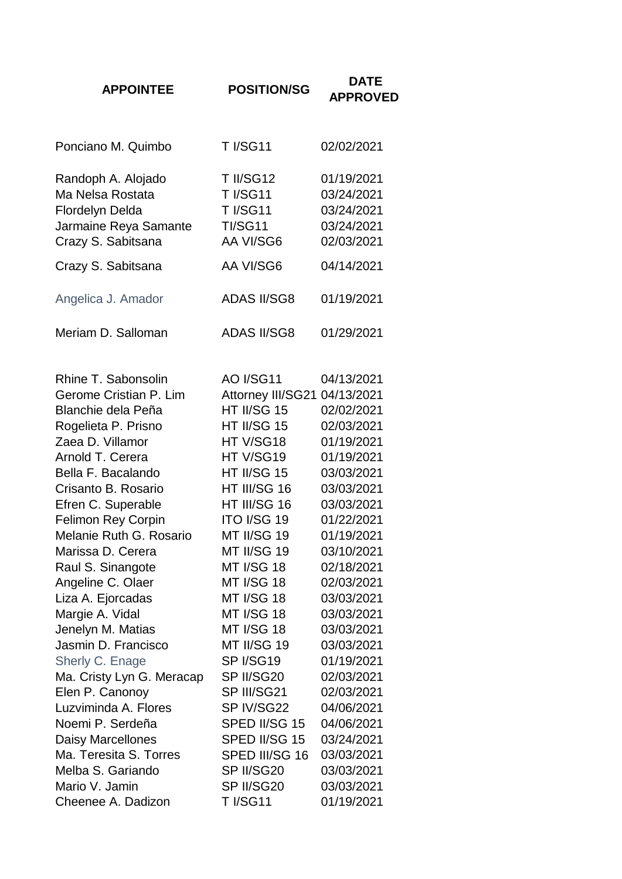| <b>APPOINTEE</b>                                                                                                                                                                                                                                                                                                             | <b>POSITION/SG</b>                                                                                                                                                                                                                                    | DATE<br><b>APPROVED</b>                                                                                                                                                            |
|------------------------------------------------------------------------------------------------------------------------------------------------------------------------------------------------------------------------------------------------------------------------------------------------------------------------------|-------------------------------------------------------------------------------------------------------------------------------------------------------------------------------------------------------------------------------------------------------|------------------------------------------------------------------------------------------------------------------------------------------------------------------------------------|
|                                                                                                                                                                                                                                                                                                                              |                                                                                                                                                                                                                                                       |                                                                                                                                                                                    |
| Ponciano M. Quimbo                                                                                                                                                                                                                                                                                                           | <b>T I/SG11</b>                                                                                                                                                                                                                                       | 02/02/2021                                                                                                                                                                         |
| Randoph A. Alojado<br>Ma Nelsa Rostata<br><b>Flordelyn Delda</b><br>Jarmaine Reya Samante<br>Crazy S. Sabitsana                                                                                                                                                                                                              | <b>T II/SG12</b><br><b>T I/SG11</b><br><b>T I/SG11</b><br><b>TI/SG11</b><br>AA VI/SG6                                                                                                                                                                 | 01/19/2021<br>03/24/2021<br>03/24/2021<br>03/24/2021<br>02/03/2021                                                                                                                 |
| Crazy S. Sabitsana                                                                                                                                                                                                                                                                                                           | AA VI/SG6                                                                                                                                                                                                                                             | 04/14/2021                                                                                                                                                                         |
| Angelica J. Amador                                                                                                                                                                                                                                                                                                           | <b>ADAS II/SG8</b>                                                                                                                                                                                                                                    | 01/19/2021                                                                                                                                                                         |
| Meriam D. Salloman                                                                                                                                                                                                                                                                                                           | <b>ADAS II/SG8</b>                                                                                                                                                                                                                                    | 01/29/2021                                                                                                                                                                         |
| Rhine T. Sabonsolin<br>Gerome Cristian P. Lim<br><b>Blanchie dela Peña</b><br>Rogelieta P. Prisno<br>Zaea D. Villamor<br>Arnold T. Cerera<br>Bella F. Bacalando<br>Crisanto B. Rosario<br>Efren C. Superable<br>Felimon Rey Corpin<br>Melanie Ruth G. Rosario<br>Marissa D. Cerera<br>Raul S. Sinangote<br>Angeline C. Olaer | <b>AO I/SG11</b><br>Attorney III/SG21 04/13/2021<br>HT II/SG 15<br>HT II/SG 15<br>HT V/SG18<br>HT V/SG19<br>HT II/SG 15<br>HT III/SG 16<br>HT III/SG 16<br><b>ITO I/SG 19</b><br>MT II/SG 19<br>MT II/SG 19<br><b>MT I/SG 18</b><br><b>MT I/SG 18</b> | 04/13/2021<br>02/02/2021<br>02/03/2021<br>01/19/2021<br>01/19/2021<br>03/03/2021<br>03/03/2021<br>03/03/2021<br>01/22/2021<br>01/19/2021<br>03/10/2021<br>02/18/2021<br>02/03/2021 |
| Liza A. Ejorcadas<br>Margie A. Vidal<br>Jenelyn M. Matias<br>Jasmin D. Francisco<br>Sherly C. Enage<br>Ma. Cristy Lyn G. Meracap<br>Elen P. Canonoy<br>Luzviminda A. Flores<br>Noemi P. Serdeña                                                                                                                              | <b>MT I/SG 18</b><br><b>MT I/SG 18</b><br><b>MT I/SG 18</b><br>MT II/SG 19<br>SP I/SG19<br>SP II/SG20<br>SP III/SG21<br>SP IV/SG22<br>SPED II/SG 15                                                                                                   | 03/03/2021<br>03/03/2021<br>03/03/2021<br>03/03/2021<br>01/19/2021<br>02/03/2021<br>02/03/2021<br>04/06/2021<br>04/06/2021                                                         |
| <b>Daisy Marcellones</b><br>Ma. Teresita S. Torres<br>Melba S. Gariando<br>Mario V. Jamin<br>Cheenee A. Dadizon                                                                                                                                                                                                              | SPED II/SG 15<br>SPED III/SG 16<br>SP II/SG20<br>SP II/SG20<br><b>T I/SG11</b>                                                                                                                                                                        | 03/24/2021<br>03/03/2021<br>03/03/2021<br>03/03/2021<br>01/19/2021                                                                                                                 |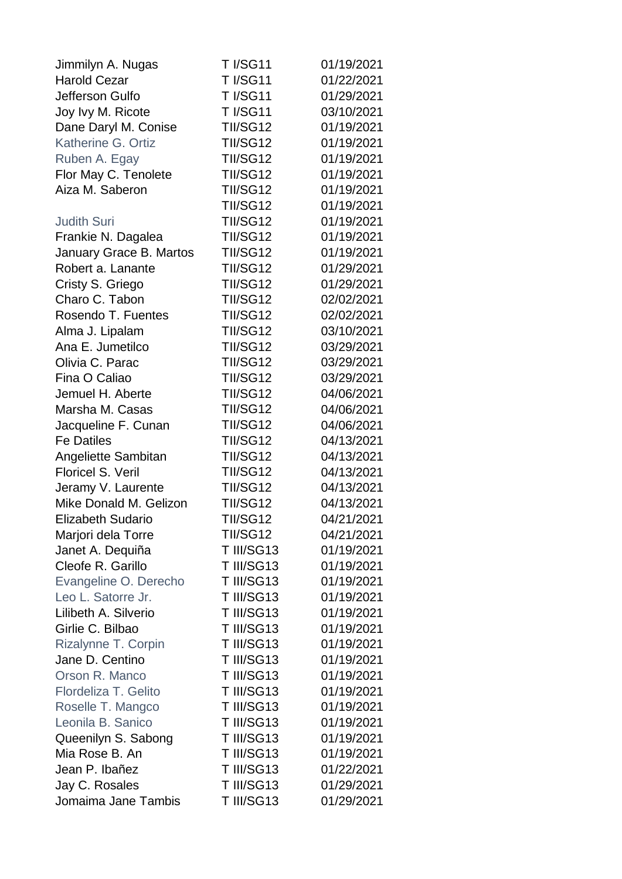| Jimmilyn A. Nugas        | <b>T I/SG11</b> | 01/19/2021 |
|--------------------------|-----------------|------------|
| <b>Harold Cezar</b>      | <b>T I/SG11</b> | 01/22/2021 |
| Jefferson Gulfo          | <b>T I/SG11</b> | 01/29/2021 |
| Joy Ivy M. Ricote        | <b>T I/SG11</b> | 03/10/2021 |
| Dane Daryl M. Conise     | <b>TII/SG12</b> | 01/19/2021 |
| Katherine G. Ortiz       | <b>TII/SG12</b> | 01/19/2021 |
| Ruben A. Egay            | <b>TII/SG12</b> | 01/19/2021 |
| Flor May C. Tenolete     | <b>TII/SG12</b> | 01/19/2021 |
| Aiza M. Saberon          | <b>TII/SG12</b> | 01/19/2021 |
|                          | <b>TII/SG12</b> | 01/19/2021 |
| <b>Judith Suri</b>       | <b>TII/SG12</b> | 01/19/2021 |
| Frankie N. Dagalea       | <b>TII/SG12</b> | 01/19/2021 |
| January Grace B. Martos  | <b>TII/SG12</b> | 01/19/2021 |
| Robert a. Lanante        | <b>TII/SG12</b> | 01/29/2021 |
| Cristy S. Griego         | <b>TII/SG12</b> | 01/29/2021 |
| Charo C. Tabon           | <b>TII/SG12</b> | 02/02/2021 |
| Rosendo T. Fuentes       | <b>TII/SG12</b> | 02/02/2021 |
| Alma J. Lipalam          | <b>TII/SG12</b> | 03/10/2021 |
| Ana E. Jumetilco         | <b>TII/SG12</b> | 03/29/2021 |
| Olivia C. Parac          | <b>TII/SG12</b> | 03/29/2021 |
| Fina O Caliao            | <b>TII/SG12</b> | 03/29/2021 |
| Jemuel H. Aberte         | <b>TII/SG12</b> | 04/06/2021 |
| Marsha M. Casas          | <b>TII/SG12</b> | 04/06/2021 |
| Jacqueline F. Cunan      | <b>TII/SG12</b> | 04/06/2021 |
| <b>Fe Datiles</b>        | <b>TII/SG12</b> | 04/13/2021 |
| Angeliette Sambitan      | <b>TII/SG12</b> | 04/13/2021 |
| <b>Floricel S. Veril</b> | <b>TII/SG12</b> | 04/13/2021 |
| Jeramy V. Laurente       | <b>TII/SG12</b> | 04/13/2021 |
| Mike Donald M. Gelizon   | <b>TII/SG12</b> | 04/13/2021 |
| <b>Elizabeth Sudario</b> | <b>TII/SG12</b> | 04/21/2021 |
| Marjori dela Torre       | TII/SG12        | 04/21/2021 |
| Janet A. Dequiña         | T III/SG13      | 01/19/2021 |
| Cleofe R. Garillo        | T III/SG13      | 01/19/2021 |
| Evangeline O. Derecho    | T III/SG13      | 01/19/2021 |
| Leo L. Satorre Jr.       | T III/SG13      | 01/19/2021 |
| Lilibeth A. Silverio     | T III/SG13      | 01/19/2021 |
| Girlie C. Bilbao         | T III/SG13      | 01/19/2021 |
| Rizalynne T. Corpin      | T III/SG13      | 01/19/2021 |
| Jane D. Centino          | T III/SG13      | 01/19/2021 |
| Orson R. Manco           | T III/SG13      | 01/19/2021 |
| Flordeliza T. Gelito     | T III/SG13      | 01/19/2021 |
| Roselle T. Mangco        | T III/SG13      | 01/19/2021 |
| Leonila B. Sanico        | T III/SG13      | 01/19/2021 |
| Queenilyn S. Sabong      | T III/SG13      | 01/19/2021 |
| Mia Rose B. An           | T III/SG13      | 01/19/2021 |
| Jean P. Ibañez           | T III/SG13      | 01/22/2021 |
| Jay C. Rosales           | T III/SG13      | 01/29/2021 |
| Jomaima Jane Tambis      | T III/SG13      | 01/29/2021 |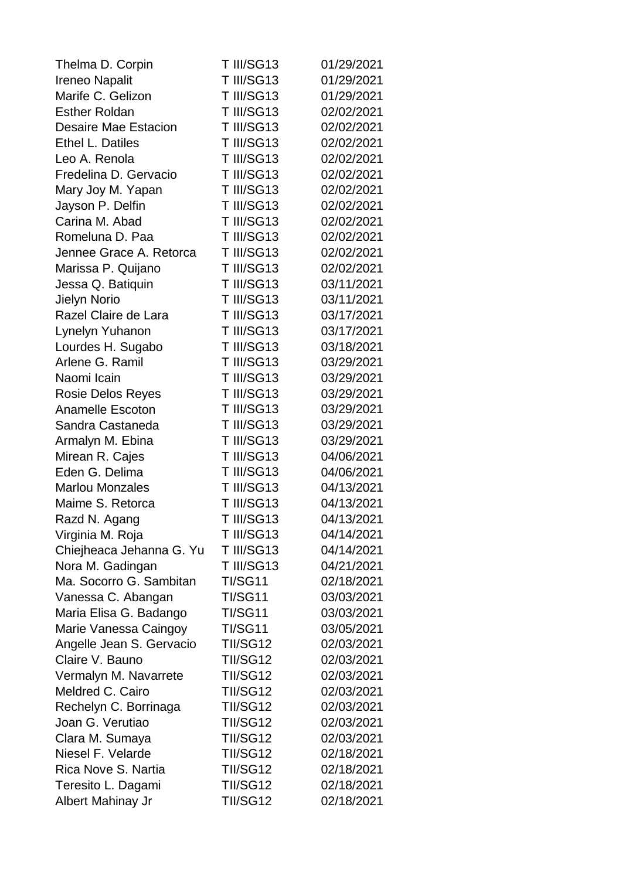| Thelma D. Corpin         | T III/SG13      | 01/29/2021 |
|--------------------------|-----------------|------------|
| <b>Ireneo Napalit</b>    | T III/SG13      | 01/29/2021 |
| Marife C. Gelizon        | T III/SG13      | 01/29/2021 |
| <b>Esther Roldan</b>     | T III/SG13      | 02/02/2021 |
| Desaire Mae Estacion     | T III/SG13      | 02/02/2021 |
| Ethel L. Datiles         | T III/SG13      | 02/02/2021 |
| Leo A. Renola            | T III/SG13      | 02/02/2021 |
| Fredelina D. Gervacio    | T III/SG13      | 02/02/2021 |
| Mary Joy M. Yapan        | T III/SG13      | 02/02/2021 |
| Jayson P. Delfin         | T III/SG13      | 02/02/2021 |
| Carina M. Abad           | T III/SG13      | 02/02/2021 |
| Romeluna D. Paa          | T III/SG13      | 02/02/2021 |
| Jennee Grace A. Retorca  | T III/SG13      | 02/02/2021 |
| Marissa P. Quijano       | T III/SG13      | 02/02/2021 |
| Jessa Q. Batiquin        | T III/SG13      | 03/11/2021 |
| Jielyn Norio             | T III/SG13      | 03/11/2021 |
| Razel Claire de Lara     | T III/SG13      | 03/17/2021 |
| Lynelyn Yuhanon          | T III/SG13      | 03/17/2021 |
| Lourdes H. Sugabo        | T III/SG13      | 03/18/2021 |
| Arlene G. Ramil          | T III/SG13      | 03/29/2021 |
| Naomi Icain              | T III/SG13      | 03/29/2021 |
| <b>Rosie Delos Reyes</b> | T III/SG13      | 03/29/2021 |
| <b>Anamelle Escoton</b>  | T III/SG13      | 03/29/2021 |
| Sandra Castaneda         | T III/SG13      | 03/29/2021 |
| Armalyn M. Ebina         | T III/SG13      | 03/29/2021 |
| Mirean R. Cajes          | T III/SG13      | 04/06/2021 |
| Eden G. Delima           | T III/SG13      | 04/06/2021 |
| <b>Marlou Monzales</b>   | T III/SG13      | 04/13/2021 |
| Maime S. Retorca         | T III/SG13      | 04/13/2021 |
| Razd N. Agang            | T III/SG13      | 04/13/2021 |
| Virginia M. Roja         | T III/SG13      | 04/14/2021 |
| Chiejheaca Jehanna G. Yu | T III/SG13      | 04/14/2021 |
| Nora M. Gadingan         | T III/SG13      | 04/21/2021 |
| Ma. Socorro G. Sambitan  | <b>TI/SG11</b>  | 02/18/2021 |
| Vanessa C. Abangan       | <b>TI/SG11</b>  | 03/03/2021 |
| Maria Elisa G. Badango   | <b>TI/SG11</b>  | 03/03/2021 |
| Marie Vanessa Caingoy    | <b>TI/SG11</b>  | 03/05/2021 |
| Angelle Jean S. Gervacio | <b>TII/SG12</b> | 02/03/2021 |
| Claire V. Bauno          | <b>TII/SG12</b> | 02/03/2021 |
| Vermalyn M. Navarrete    | <b>TII/SG12</b> | 02/03/2021 |
| Meldred C. Cairo         | <b>TII/SG12</b> | 02/03/2021 |
| Rechelyn C. Borrinaga    | <b>TII/SG12</b> | 02/03/2021 |
| Joan G. Verutiao         | <b>TII/SG12</b> | 02/03/2021 |
| Clara M. Sumaya          | <b>TII/SG12</b> | 02/03/2021 |
| Niesel F. Velarde        | <b>TII/SG12</b> | 02/18/2021 |
| Rica Nove S. Nartia      | <b>TII/SG12</b> | 02/18/2021 |
| Teresito L. Dagami       | <b>TII/SG12</b> | 02/18/2021 |
| Albert Mahinay Jr        | <b>TII/SG12</b> | 02/18/2021 |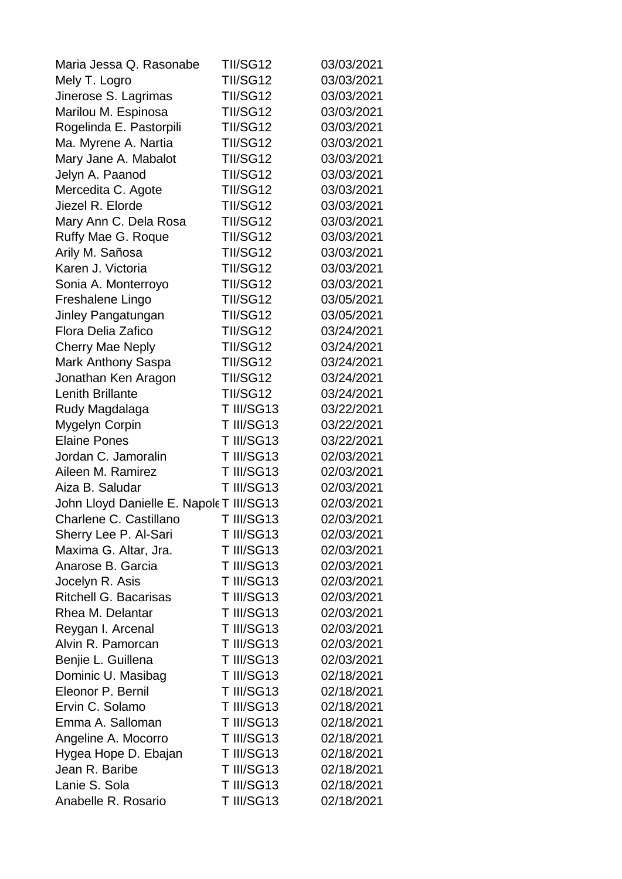| Maria Jessa Q. Rasonabe                  | TII/SG12        | 03/03/2021 |
|------------------------------------------|-----------------|------------|
| Mely T. Logro                            | <b>TII/SG12</b> | 03/03/2021 |
| Jinerose S. Lagrimas                     | <b>TII/SG12</b> | 03/03/2021 |
| Marilou M. Espinosa                      | <b>TII/SG12</b> | 03/03/2021 |
| Rogelinda E. Pastorpili                  | <b>TII/SG12</b> | 03/03/2021 |
| Ma. Myrene A. Nartia                     | <b>TII/SG12</b> | 03/03/2021 |
| Mary Jane A. Mabalot                     | <b>TII/SG12</b> | 03/03/2021 |
| Jelyn A. Paanod                          | <b>TII/SG12</b> | 03/03/2021 |
| Mercedita C. Agote                       | <b>TII/SG12</b> | 03/03/2021 |
| Jiezel R. Elorde                         | <b>TII/SG12</b> | 03/03/2021 |
| Mary Ann C. Dela Rosa                    | <b>TII/SG12</b> | 03/03/2021 |
| Ruffy Mae G. Roque                       | <b>TII/SG12</b> | 03/03/2021 |
| Arily M. Sañosa                          | <b>TII/SG12</b> | 03/03/2021 |
| Karen J. Victoria                        | <b>TII/SG12</b> | 03/03/2021 |
| Sonia A. Monterroyo                      | <b>TII/SG12</b> | 03/03/2021 |
| Freshalene Lingo                         | <b>TII/SG12</b> | 03/05/2021 |
| Jinley Pangatungan                       | <b>TII/SG12</b> | 03/05/2021 |
| <b>Flora Delia Zafico</b>                | <b>TII/SG12</b> | 03/24/2021 |
| <b>Cherry Mae Neply</b>                  | <b>TII/SG12</b> | 03/24/2021 |
| Mark Anthony Saspa                       | <b>TII/SG12</b> | 03/24/2021 |
| Jonathan Ken Aragon                      | <b>TII/SG12</b> | 03/24/2021 |
| <b>Lenith Brillante</b>                  | <b>TII/SG12</b> | 03/24/2021 |
| Rudy Magdalaga                           | T III/SG13      | 03/22/2021 |
| Mygelyn Corpin                           | T III/SG13      | 03/22/2021 |
| <b>Elaine Pones</b>                      | T III/SG13      | 03/22/2021 |
| Jordan C. Jamoralin                      | T III/SG13      | 02/03/2021 |
| Aileen M. Ramirez                        | T III/SG13      | 02/03/2021 |
| Aiza B. Saludar                          | T III/SG13      | 02/03/2021 |
| John Lloyd Danielle E. Napole T III/SG13 |                 | 02/03/2021 |
| Charlene C. Castillano                   | T III/SG13      | 02/03/2021 |
| Sherry Lee P. Al-Sari                    | T III/SG13      | 02/03/2021 |
| Maxima G. Altar, Jra.                    | T III/SG13      | 02/03/2021 |
| Anarose B. Garcia                        | T III/SG13      | 02/03/2021 |
| Jocelyn R. Asis                          | T III/SG13      | 02/03/2021 |
| <b>Ritchell G. Bacarisas</b>             | T III/SG13      | 02/03/2021 |
| Rhea M. Delantar                         | T III/SG13      | 02/03/2021 |
| Reygan I. Arcenal                        | T III/SG13      | 02/03/2021 |
| Alvin R. Pamorcan                        | T III/SG13      | 02/03/2021 |
| Benjie L. Guillena                       | T III/SG13      | 02/03/2021 |
| Dominic U. Masibag                       | T III/SG13      | 02/18/2021 |
| Eleonor P. Bernil                        | T III/SG13      | 02/18/2021 |
| Ervin C. Solamo                          | T III/SG13      | 02/18/2021 |
| Emma A. Salloman                         | T III/SG13      | 02/18/2021 |
| Angeline A. Mocorro                      | T III/SG13      | 02/18/2021 |
| Hygea Hope D. Ebajan                     | T III/SG13      | 02/18/2021 |
| Jean R. Baribe                           | T III/SG13      | 02/18/2021 |
| Lanie S. Sola                            | T III/SG13      | 02/18/2021 |
| Anabelle R. Rosario                      | T III/SG13      | 02/18/2021 |